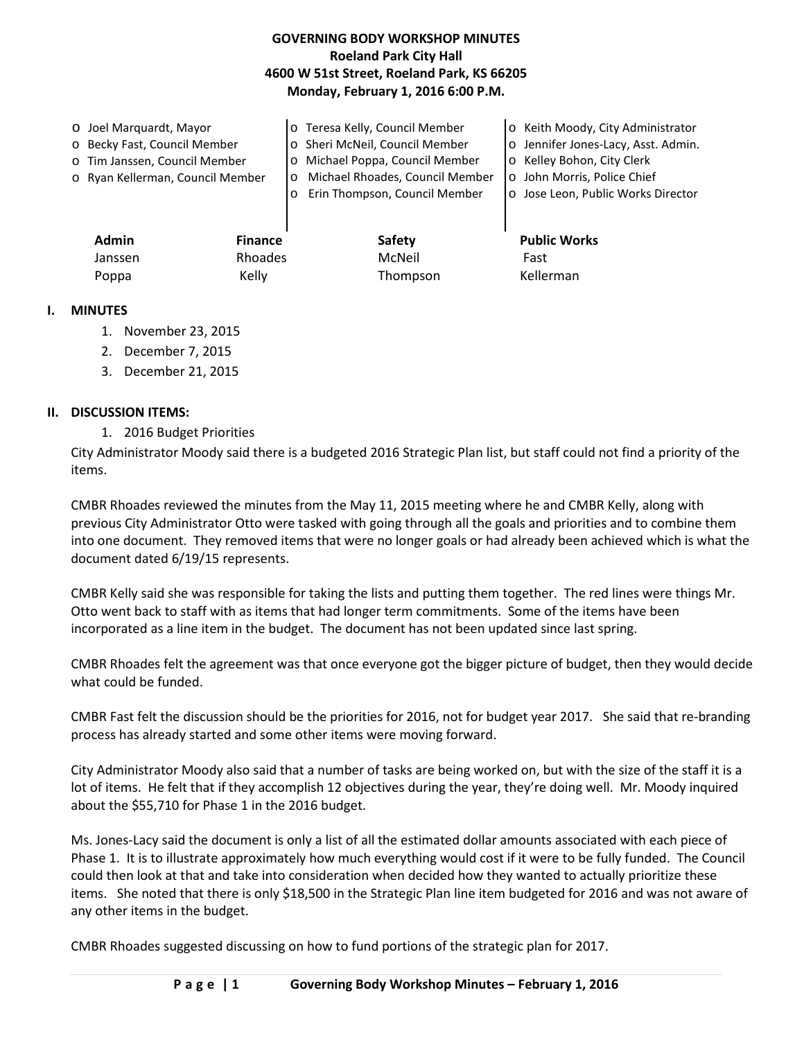# **GOVERNING BODY WORKSHOP MINUTES Roeland Park City Hall 4600 W 51st Street, Roeland Park, KS 66205 Monday, February 1, 2016 6:00 P.M.**

| O Joel Marquardt, Mayor          |          | o Teresa Kelly, Council Member  | o Keith Moody, City Administrator   |
|----------------------------------|----------|---------------------------------|-------------------------------------|
| o Becky Fast, Council Member     |          | o Sheri McNeil, Council Member  | o Jennifer Jones-Lacy, Asst. Admin. |
| o Tim Janssen, Council Member    |          | o Michael Poppa, Council Member | o Kelley Bohon, City Clerk          |
| o Ryan Kellerman, Council Member | $\Omega$ | Michael Rhoades, Council Member | o John Morris, Police Chief         |
|                                  |          | Erin Thompson, Council Member   | o Jose Leon, Public Works Director  |
|                                  |          |                                 |                                     |
|                                  |          |                                 |                                     |

| <b>Admin</b> | <b>Finance</b> | <b>Safety</b> | <b>Public Works</b> |
|--------------|----------------|---------------|---------------------|
| Janssen      | Rhoades        | McNeil        | Fast                |
| Poppa        | Kelly          | Thompson      | Kellerman           |

### **I. MINUTES**

- 1. November 23, 2015
- 2. December 7, 2015
- 3. December 21, 2015

#### **II. DISCUSSION ITEMS:**

1. 2016 Budget Priorities

City Administrator Moody said there is a budgeted 2016 Strategic Plan list, but staff could not find a priority of the items.

CMBR Rhoades reviewed the minutes from the May 11, 2015 meeting where he and CMBR Kelly, along with previous City Administrator Otto were tasked with going through all the goals and priorities and to combine them into one document. They removed items that were no longer goals or had already been achieved which is what the document dated 6/19/15 represents.

CMBR Kelly said she was responsible for taking the lists and putting them together. The red lines were things Mr. Otto went back to staff with as items that had longer term commitments. Some of the items have been incorporated as a line item in the budget. The document has not been updated since last spring.

CMBR Rhoades felt the agreement was that once everyone got the bigger picture of budget, then they would decide what could be funded.

CMBR Fast felt the discussion should be the priorities for 2016, not for budget year 2017. She said that re-branding process has already started and some other items were moving forward.

City Administrator Moody also said that a number of tasks are being worked on, but with the size of the staff it is a lot of items. He felt that if they accomplish 12 objectives during the year, they're doing well. Mr. Moody inquired about the \$55,710 for Phase 1 in the 2016 budget.

Ms. Jones-Lacy said the document is only a list of all the estimated dollar amounts associated with each piece of Phase 1. It is to illustrate approximately how much everything would cost if it were to be fully funded. The Council could then look at that and take into consideration when decided how they wanted to actually prioritize these items. She noted that there is only \$18,500 in the Strategic Plan line item budgeted for 2016 and was not aware of any other items in the budget.

CMBR Rhoades suggested discussing on how to fund portions of the strategic plan for 2017.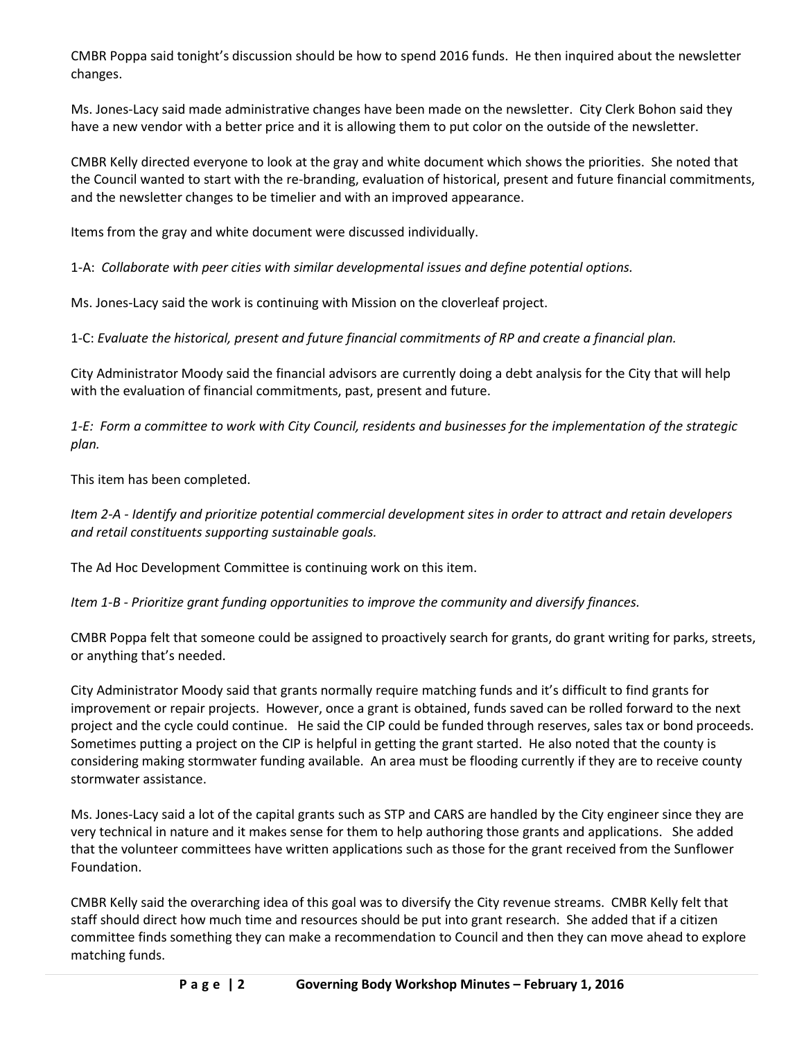CMBR Poppa said tonight's discussion should be how to spend 2016 funds. He then inquired about the newsletter changes.

Ms. Jones-Lacy said made administrative changes have been made on the newsletter. City Clerk Bohon said they have a new vendor with a better price and it is allowing them to put color on the outside of the newsletter.

CMBR Kelly directed everyone to look at the gray and white document which shows the priorities. She noted that the Council wanted to start with the re-branding, evaluation of historical, present and future financial commitments, and the newsletter changes to be timelier and with an improved appearance.

Items from the gray and white document were discussed individually.

1-A: *Collaborate with peer cities with similar developmental issues and define potential options.*

Ms. Jones-Lacy said the work is continuing with Mission on the cloverleaf project.

1-C: *Evaluate the historical, present and future financial commitments of RP and create a financial plan.*

City Administrator Moody said the financial advisors are currently doing a debt analysis for the City that will help with the evaluation of financial commitments, past, present and future.

*1-E: Form a committee to work with City Council, residents and businesses for the implementation of the strategic plan.*

This item has been completed.

*Item 2-A - Identify and prioritize potential commercial development sites in order to attract and retain developers and retail constituents supporting sustainable goals.*

The Ad Hoc Development Committee is continuing work on this item.

*Item 1-B - Prioritize grant funding opportunities to improve the community and diversify finances.*

CMBR Poppa felt that someone could be assigned to proactively search for grants, do grant writing for parks, streets, or anything that's needed.

City Administrator Moody said that grants normally require matching funds and it's difficult to find grants for improvement or repair projects. However, once a grant is obtained, funds saved can be rolled forward to the next project and the cycle could continue. He said the CIP could be funded through reserves, sales tax or bond proceeds. Sometimes putting a project on the CIP is helpful in getting the grant started. He also noted that the county is considering making stormwater funding available. An area must be flooding currently if they are to receive county stormwater assistance.

Ms. Jones-Lacy said a lot of the capital grants such as STP and CARS are handled by the City engineer since they are very technical in nature and it makes sense for them to help authoring those grants and applications. She added that the volunteer committees have written applications such as those for the grant received from the Sunflower Foundation.

CMBR Kelly said the overarching idea of this goal was to diversify the City revenue streams. CMBR Kelly felt that staff should direct how much time and resources should be put into grant research. She added that if a citizen committee finds something they can make a recommendation to Council and then they can move ahead to explore matching funds.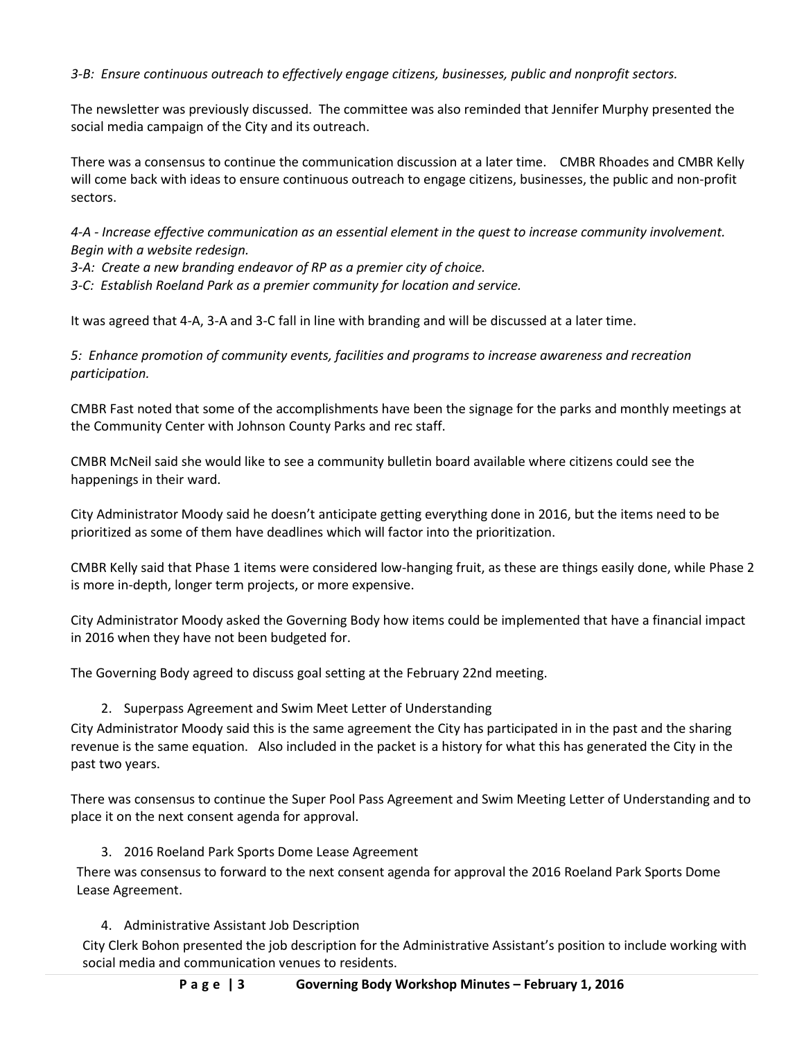*3-B: Ensure continuous outreach to effectively engage citizens, businesses, public and nonprofit sectors.* 

The newsletter was previously discussed. The committee was also reminded that Jennifer Murphy presented the social media campaign of the City and its outreach.

There was a consensus to continue the communication discussion at a later time. CMBR Rhoades and CMBR Kelly will come back with ideas to ensure continuous outreach to engage citizens, businesses, the public and non-profit sectors.

*4-A - Increase effective communication as an essential element in the quest to increase community involvement. Begin with a website redesign.* 

*3-A: Create a new branding endeavor of RP as a premier city of choice.*

*3-C: Establish Roeland Park as a premier community for location and service.*

It was agreed that 4-A, 3-A and 3-C fall in line with branding and will be discussed at a later time.

*5: Enhance promotion of community events, facilities and programs to increase awareness and recreation participation.*

CMBR Fast noted that some of the accomplishments have been the signage for the parks and monthly meetings at the Community Center with Johnson County Parks and rec staff.

CMBR McNeil said she would like to see a community bulletin board available where citizens could see the happenings in their ward.

City Administrator Moody said he doesn't anticipate getting everything done in 2016, but the items need to be prioritized as some of them have deadlines which will factor into the prioritization.

CMBR Kelly said that Phase 1 items were considered low-hanging fruit, as these are things easily done, while Phase 2 is more in-depth, longer term projects, or more expensive.

City Administrator Moody asked the Governing Body how items could be implemented that have a financial impact in 2016 when they have not been budgeted for.

The Governing Body agreed to discuss goal setting at the February 22nd meeting.

### 2. Superpass Agreement and Swim Meet Letter of Understanding

City Administrator Moody said this is the same agreement the City has participated in in the past and the sharing revenue is the same equation. Also included in the packet is a history for what this has generated the City in the past two years.

There was consensus to continue the Super Pool Pass Agreement and Swim Meeting Letter of Understanding and to place it on the next consent agenda for approval.

### 3. 2016 Roeland Park Sports Dome Lease Agreement

There was consensus to forward to the next consent agenda for approval the 2016 Roeland Park Sports Dome Lease Agreement.

# 4. Administrative Assistant Job Description

City Clerk Bohon presented the job description for the Administrative Assistant's position to include working with social media and communication venues to residents.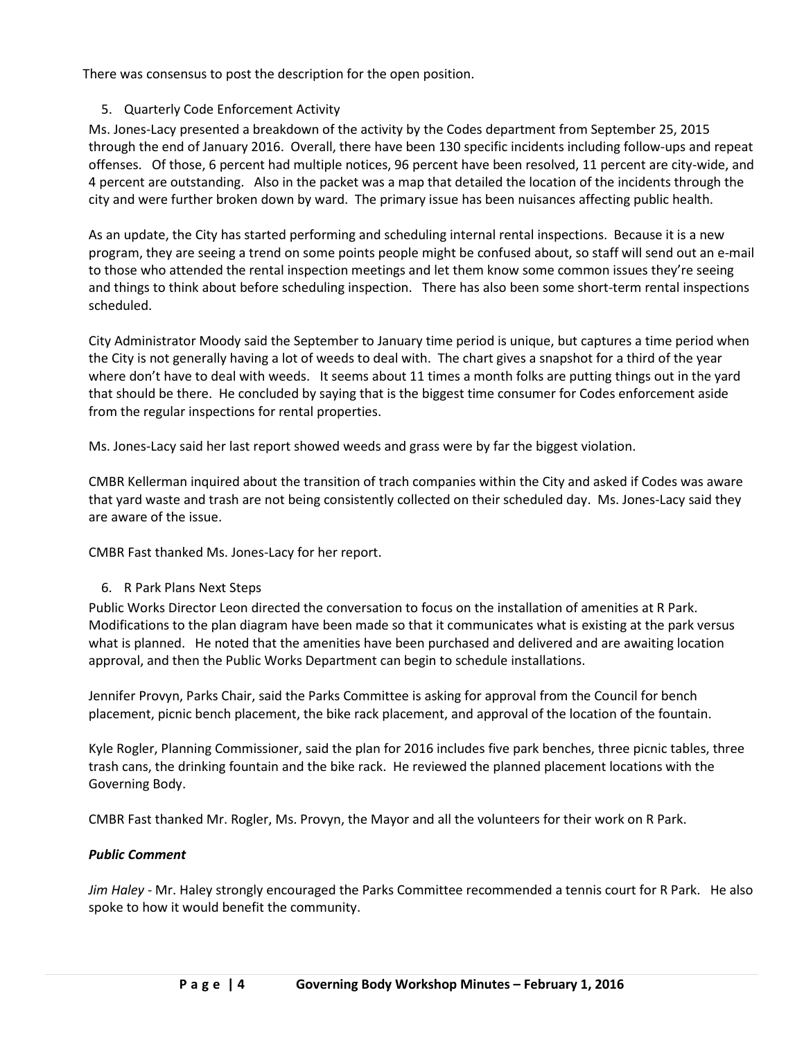There was consensus to post the description for the open position.

# 5. Quarterly Code Enforcement Activity

Ms. Jones-Lacy presented a breakdown of the activity by the Codes department from September 25, 2015 through the end of January 2016. Overall, there have been 130 specific incidents including follow-ups and repeat offenses. Of those, 6 percent had multiple notices, 96 percent have been resolved, 11 percent are city-wide, and 4 percent are outstanding. Also in the packet was a map that detailed the location of the incidents through the city and were further broken down by ward. The primary issue has been nuisances affecting public health.

As an update, the City has started performing and scheduling internal rental inspections. Because it is a new program, they are seeing a trend on some points people might be confused about, so staff will send out an e-mail to those who attended the rental inspection meetings and let them know some common issues they're seeing and things to think about before scheduling inspection. There has also been some short-term rental inspections scheduled.

City Administrator Moody said the September to January time period is unique, but captures a time period when the City is not generally having a lot of weeds to deal with. The chart gives a snapshot for a third of the year where don't have to deal with weeds. It seems about 11 times a month folks are putting things out in the yard that should be there. He concluded by saying that is the biggest time consumer for Codes enforcement aside from the regular inspections for rental properties.

Ms. Jones-Lacy said her last report showed weeds and grass were by far the biggest violation.

CMBR Kellerman inquired about the transition of trach companies within the City and asked if Codes was aware that yard waste and trash are not being consistently collected on their scheduled day. Ms. Jones-Lacy said they are aware of the issue.

CMBR Fast thanked Ms. Jones-Lacy for her report.

### 6. R Park Plans Next Steps

Public Works Director Leon directed the conversation to focus on the installation of amenities at R Park. Modifications to the plan diagram have been made so that it communicates what is existing at the park versus what is planned. He noted that the amenities have been purchased and delivered and are awaiting location approval, and then the Public Works Department can begin to schedule installations.

Jennifer Provyn, Parks Chair, said the Parks Committee is asking for approval from the Council for bench placement, picnic bench placement, the bike rack placement, and approval of the location of the fountain.

Kyle Rogler, Planning Commissioner, said the plan for 2016 includes five park benches, three picnic tables, three trash cans, the drinking fountain and the bike rack. He reviewed the planned placement locations with the Governing Body.

CMBR Fast thanked Mr. Rogler, Ms. Provyn, the Mayor and all the volunteers for their work on R Park.

### *Public Comment*

*Jim Haley* - Mr. Haley strongly encouraged the Parks Committee recommended a tennis court for R Park. He also spoke to how it would benefit the community.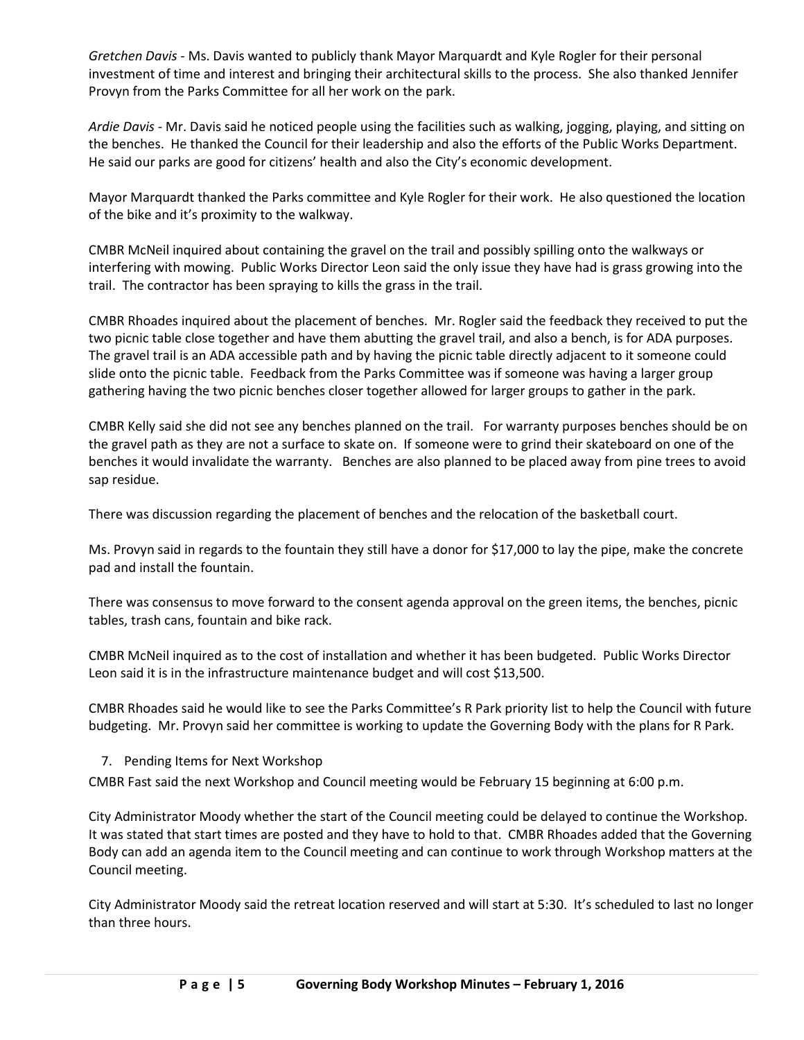*Gretchen Davis* - Ms. Davis wanted to publicly thank Mayor Marquardt and Kyle Rogler for their personal investment of time and interest and bringing their architectural skills to the process. She also thanked Jennifer Provyn from the Parks Committee for all her work on the park.

*Ardie Davis* - Mr. Davis said he noticed people using the facilities such as walking, jogging, playing, and sitting on the benches. He thanked the Council for their leadership and also the efforts of the Public Works Department. He said our parks are good for citizens' health and also the City's economic development.

Mayor Marquardt thanked the Parks committee and Kyle Rogler for their work. He also questioned the location of the bike and it's proximity to the walkway.

CMBR McNeil inquired about containing the gravel on the trail and possibly spilling onto the walkways or interfering with mowing. Public Works Director Leon said the only issue they have had is grass growing into the trail. The contractor has been spraying to kills the grass in the trail.

CMBR Rhoades inquired about the placement of benches. Mr. Rogler said the feedback they received to put the two picnic table close together and have them abutting the gravel trail, and also a bench, is for ADA purposes. The gravel trail is an ADA accessible path and by having the picnic table directly adjacent to it someone could slide onto the picnic table. Feedback from the Parks Committee was if someone was having a larger group gathering having the two picnic benches closer together allowed for larger groups to gather in the park.

CMBR Kelly said she did not see any benches planned on the trail. For warranty purposes benches should be on the gravel path as they are not a surface to skate on. If someone were to grind their skateboard on one of the benches it would invalidate the warranty. Benches are also planned to be placed away from pine trees to avoid sap residue.

There was discussion regarding the placement of benches and the relocation of the basketball court.

Ms. Provyn said in regards to the fountain they still have a donor for \$17,000 to lay the pipe, make the concrete pad and install the fountain.

There was consensus to move forward to the consent agenda approval on the green items, the benches, picnic tables, trash cans, fountain and bike rack.

CMBR McNeil inquired as to the cost of installation and whether it has been budgeted. Public Works Director Leon said it is in the infrastructure maintenance budget and will cost \$13,500.

CMBR Rhoades said he would like to see the Parks Committee's R Park priority list to help the Council with future budgeting. Mr. Provyn said her committee is working to update the Governing Body with the plans for R Park.

### 7. Pending Items for Next Workshop

CMBR Fast said the next Workshop and Council meeting would be February 15 beginning at 6:00 p.m.

City Administrator Moody whether the start of the Council meeting could be delayed to continue the Workshop. It was stated that start times are posted and they have to hold to that. CMBR Rhoades added that the Governing Body can add an agenda item to the Council meeting and can continue to work through Workshop matters at the Council meeting.

City Administrator Moody said the retreat location reserved and will start at 5:30. It's scheduled to last no longer than three hours.